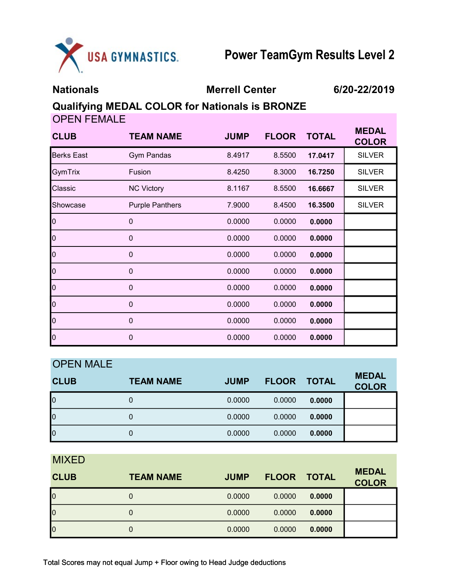

Nationals Merrell Center 6/20-22/2019

**COLOR** 

## Qualifying MEDAL COLOR for Nationals is BRONZE

OPEN FEMALE CLUB TEAM NAME JUMP FLOOR TOTAL MEDAL Berks East Gym Pandas 8.4917 8.5500 17.0417 SILVER GymTrix Fusion 8.4250 8.3000 16.7250 SILVER

| ∣Gym⊺nx  | <b>FUSION</b>          | 0.425U | 0.3UUU | 16.7250 | OILVER        |
|----------|------------------------|--------|--------|---------|---------------|
| Classic  | <b>NC Victory</b>      | 8.1167 | 8.5500 | 16.6667 | <b>SILVER</b> |
| Showcase | <b>Purple Panthers</b> | 7.9000 | 8.4500 | 16.3500 | <b>SILVER</b> |
| 0        | $\mathbf 0$            | 0.0000 | 0.0000 | 0.0000  |               |
| 0        | $\mathbf 0$            | 0.0000 | 0.0000 | 0.0000  |               |
| 0        | $\mathbf 0$            | 0.0000 | 0.0000 | 0.0000  |               |
| 0        | $\mathbf 0$            | 0.0000 | 0.0000 | 0.0000  |               |
| 0        | $\mathbf 0$            | 0.0000 | 0.0000 | 0.0000  |               |
| 0        | $\mathbf 0$            | 0.0000 | 0.0000 | 0.0000  |               |
| 0        | $\mathbf 0$            | 0.0000 | 0.0000 | 0.0000  |               |
| 0        | $\mathbf 0$            | 0.0000 | 0.0000 | 0.0000  |               |

| <b>OPEN MALE</b> |                  |             |              |              |                              |
|------------------|------------------|-------------|--------------|--------------|------------------------------|
| <b>CLUB</b>      | <b>TEAM NAME</b> | <b>JUMP</b> | <b>FLOOR</b> | <b>TOTAL</b> | <b>MEDAL</b><br><b>COLOR</b> |
| $\mathsf{I}_0$   | 0                | 0.0000      | 0.0000       | 0.0000       |                              |
| $\mathsf{I}^0$   | 0                | 0.0000      | 0.0000       | 0.0000       |                              |
| $\mathsf{I}_0$   |                  | 0.0000      | 0.0000       | 0.0000       |                              |

**MIYED** 

| IVII/1L<br><b>CLUB</b> | <b>TEAM NAME</b> | <b>JUMP</b> | <b>FLOOR</b> | <b>TOTAL</b> | <b>MEDAL</b><br><b>COLOR</b> |
|------------------------|------------------|-------------|--------------|--------------|------------------------------|
| $\overline{0}$         |                  | 0.0000      | 0.0000       | 0.0000       |                              |
| $\overline{0}$         |                  | 0.0000      | 0.0000       | 0.0000       |                              |
| $\overline{0}$         |                  | 0.0000      | 0.0000       | 0.0000       |                              |